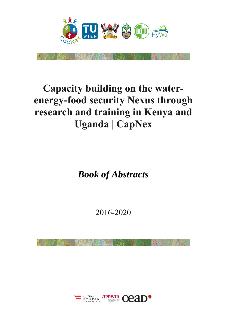

# **Capacity building on the waterenergy-food security Nexus through research and training in Kenya and Uganda | CapNex**

*Book of Abstracts* 

2016-2020

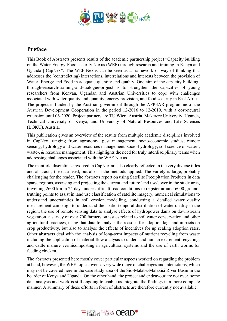

### **Preface**

This Book of Abstracts presents results of the academic partnership project "Capacity building on the Water-Energy-Food security Nexus (WEF) through research and training in Kenya and Uganda | CapNex". The WEF-Nexus can be seen as a framework or way of thinking that addresses the (contradicting) interactions, interrelations and interests between the provision of Water, Energy and Food in adequate quantity and quality. One aim of the capacity-buildingthrough-research-training-and-dialogue-project is to strengthen the capacities of young researchers from Kenyan, Ugandan and Austrian Universities to cope with challenges associated with water quality and quantity, energy provision, and food security in East Africa. The project is funded by the Austrian government through the APPEAR programme of the Austrian Development Cooperation in the period 12-2016 to 12-2019, with a cost-neutral extension until 06-2020. Project partners are TU Wien, Austria, Makerere University, Uganda, Technical University of Kenya, and University of Natural Resources and Life Sciences (BOKU), Austria.

This publication gives an overview of the results from multiple academic disciplines involved in CapNex, ranging from agronomy, pest management, socio-economic studies, remote sensing, hydrology and water resources management, socio-hydrology, soil science or water-, waste-, & resource management. This highlights the need for truly interdisciplinary teams when addressing challenges associated with the WEF-Nexus.

The manifold disciplines involved in CapNex are also clearly reflected in the very diverse titles and abstracts, the data used, but also in the methods applied. The variety is large, probably challenging for the reader. The abstracts report on using Satellite Precipitation Products in data sparse regions, assessing and projecting the current and future land use/cover in the study area, travelling 2600 km in 24 days under difficult road conditions to register around 6000 groundtruthing points to assist in land use classification of satellite imagery, numerical simulations to understand uncertainties in soil erosion modelling, conducting a detailed water quality measurement campaign to understand the spatio-temporal distribution of water quality in the region, the use of remote sensing data to analyse effects of hydropower dams on downstream vegetation, a survey of over 700 farmers on issues related to soil water conservation and other agricultural practices, using that data to analyse the reasons for adoption lags and impacts on crop productivity, but also to analyse the effects of incentives for up scaling adoption rates. Other abstracts deal with the analysis of long-term impacts of nutrient recycling from waste including the application of material flow analysis to understand human excrement recycling; and cattle manure vermicomposting in agricultural systems and the use of earth worms for feeding chicken.

The abstracts presented here mostly cover particular aspects worked on regarding the problem at hand, however, the WEF-topic covers a very wide range of challenges and interactions, which may not be covered here in the case study area of the Sio-Malaba-Malakisi River Basin in the boarder of Kenya and Uganda. On the other hand, the project and endeavour are not over, some data analysis and work is still ongoing to enable us integrate the findings in a more complete manner. A summary of these efforts in form of abstracts are therefore currently not available.

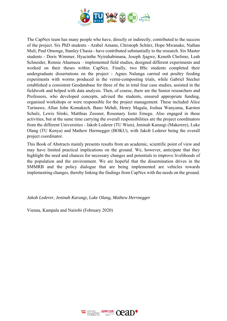

The CapNex team has many people who have, directly or indirectly, contributed to the success of the project. Six PhD students - Arabel Amann, Christoph Schürz, Hope Mwanake, Nathan Muli, Paul Omonge, Stanley Chasia - have contributed substantially to the research. Six Master students - Doris Wimmer, Hyacinthe Nyirahabimana, Joseph Jjagwe, Keneth Chelimo, Leah Schneider, Ronnie Ahumuza – implemented field studies, designed different experiments and worked on their theses within CapNex. Finally, two BSc students completed their undergraduate dissertations on the project - Agnes Nalunga carried out poultry feeding experiments with worms produced in the vermi-composting trials, while Gabriel Stecher established a consistent Geodatabase for three of the in total four case studies, assisted in the fieldwork and helped with data analysis. Then, of course, there are the Senior researchers and Professors, who developed concepts, advised the students, ensured appropriate funding, organised workshops or were responsible for the project management. These included Alice Turinawe, Allan John Komakech, Bano Mehdi, Henry Magala, Joshua Wanyama, Karsten Schulz, Lewis Sitoki, Matthias Zessner, Rosemary Isoto Emegu. Also engaged in these activities, but at the same time carrying the overall responsibilities are the project coordinators from the different Universities - Jakob Lederer (TU Wien), Jeninah Karungi (Makerere), Luke Olang (TU Kenya) and Mathew Herrnegger (BOKU), with Jakob Lederer being the overall project coordinator.

This Book of Abstracts mainly presents results from an academic, scientific point of view and may have limited practical implications on the ground. We, however, anticipate that they highlight the need and chances for necessary changes and potentials to improve livelihoods of the population and the environment. We are hopeful that the dissemination drives in the SMMRB and the policy dialogue that are being implemented are vehicles towards implementing changes, thereby linking the findings from CapNex with the needs on the ground.

*Jakob Lederer, Jeninah Karungi, Luke Olang, Mathew Herrnegger* 

Vienna, Kampala and Nairobi (February 2020)

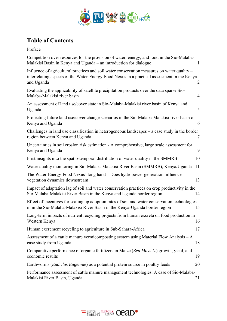

# **Table of Contents**

| Competition over resources for the provision of water, energy, and food in the Sio-Malaba-<br>Malakisi Basin in Kenya and Uganda – an introduction for dialogue                                          | 1              |
|----------------------------------------------------------------------------------------------------------------------------------------------------------------------------------------------------------|----------------|
| Influence of agricultural practices and soil water conservation measures on water quality -<br>interrelating aspects of the Water-Energy-Food Nexus in a practical assessment in the Kenya<br>and Uganda | $\overline{2}$ |
| Evaluating the applicability of satellite precipitation products over the data sparse Sio-<br>Malaba-Malakisi river basin                                                                                | $\overline{4}$ |
| An assessment of land use/cover state in Sio-Malaba-Malakisi river basin of Kenya and<br>Uganda                                                                                                          | 5              |
| Projecting future land use/cover change scenarios in the Sio-Malaba-Malakisi river basin of<br>Kenya and Uganda                                                                                          | 6              |
| Challenges in land use classification in heterogeneous landscapes $-$ a case study in the border<br>region between Kenya and Uganda                                                                      | 7              |
| Uncertainties in soil erosion risk estimation - A comprehensive, large scale assessment for<br>Kenya and Uganda                                                                                          | 9              |
| First insights into the spatio-temporal distribution of water quality in the SMMRB                                                                                                                       | 10             |
| Water quality monitoring in Sio-Malaba-Malakisi River Basin (SMMRB), Kenya/Uganda                                                                                                                        | 11             |
| The Water-Energy-Food Nexus' long hand – Does hydropower generation influence<br>vegetation dynamics downstream                                                                                          | 13             |
| Impact of adaptation lag of soil and water conservation practices on crop productivity in the<br>Sio-Malaba-Malakisi River Basin in the Kenya and Uganda border region                                   | 14             |
| Effect of incentives for scaling up adoption rates of soil and water conservation technologies<br>in in the Sio-Malaba-Malakisi River Basin in the Kenya-Uganda border region                            | 15             |
| Long-term impacts of nutrient recycling projects from human excreta on food production in<br>Western Kenya                                                                                               | 16             |
| Human excrement recycling to agriculture in Sub-Sahara-Africa                                                                                                                                            | 17             |
| Assessment of a cattle manure vermicomposting system using Material Flow Analysis $-A$<br>case study from Uganda                                                                                         | 18             |
| Comparative performance of organic fertilizers in Maize (Zea Mays L.) growth, yield, and<br>economic results                                                                                             | 19             |
| Earthworms ( <i>Eudrilus Eugeniae</i> ) as a potential protein source in poultry feeds                                                                                                                   | 20             |
| Performance assessment of cattle manure management technologies: A case of Sio-Malaba-<br>Malakisi River Basin, Uganda<br>21                                                                             |                |

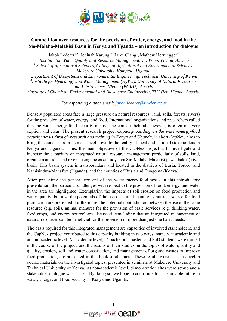

### **Competition over resources for the provision of water, energy, and food in the Sio-Malaba-Malakisi Basin in Kenya and Uganda – an introduction for dialogue**

Jakob Lederer<sup>1,5</sup>, Jeninah Karungi<sup>2</sup>, Luke Olang<sup>3</sup>, Mathew Herrnegger<sup>4</sup>

*1Institute for Water Quality and Resource Management, TU Wien, Vienna, Austria 2 School of Agricultural Sciences, College of Agricultural and Environmental Sciences, Makerere University, Kampala, Uganda 3Department of Biosystems and Environmental Engineering, Technical University of Kenya 4Institute for Hydrology and Water Management (HyWa), University of Natural Resources and Life Sciences, Vienna (BOKU), Austria 5Institute of Chemical, Environmental and Bioscience Engineering, TU Wien, Vienna, Austria* 

*Corresponding author email: jakob.lederer@tuwien.ac.at*

Densely populated areas face a large pressure on natural resources (land, soils, forests, rivers) for the provision of water, energy, and food. International organizations and researchers called this the water-energy-food security nexus. The concept behind, however, is often not very explicit and clear. The present research project *Capacity building on the water-energy-food security nexus through research and training in Kenya and Uganda*, in short *CapNex*, aims to bring this concept from its meta-level down to the reality of local and national stakeholders in Kenya and Uganda. Thus, the main objective of the CapNex project is to investigate and increase the capacities on integrated natural resource management particularly of soils, land, organic materials, and rivers, using the case study area Sio-Malaba-Malakisi (Lwakhakha) river basin. This basin system is transboundary and located in the districts of Busia, Tororo, and Namisindwa/Manafwa (Uganda), and the counties of Busia and Bungoma (Kenya).

After presenting the general concept of the water-energy-food-nexus in this introductory presentation, the particular challenges with respect to the provision of food, energy, and water in the area are highlighted. Exemplarily, the impacts of soil erosion on food production and water quality, but also the potentials of the use of animal manure as nutrient source for food production are presented. Furthermore, the potential contradiction between the use of the same resource (e.g. soils, animal manure) for the provision of basic services (e.g. drinking water, food crops, and energy source) are discussed, concluding that an integrated management of natural resources can be beneficial for the provision of more than just one basic needs.

The basis required for this integrated management are capacities of involved stakeholders, and the CapNex project contributed to this capacity building in two ways, namely at academic and at non-academic level. At academic level, 14 bachelors, masters and PhD students were trained in the course of the project, and the results of their studies on the topics of water quantity and quality, erosion, soil and water conservation, and management of organic wastes to improve food production, are presented in this book of abstracts. These results were used to develop course materials on the investigated topics, presented in seminars at Makerere University and Technical University of Kenya. At non-academic level, demonstration sites were set-up and a stakeholder dialogue was started. By doing so, we hope to contribute to a sustainable future in water, energy, and food security in Kenya and Uganda.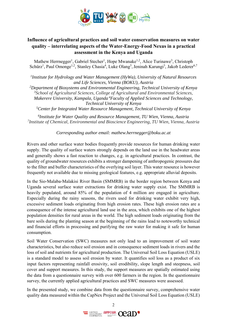

### **Influence of agricultural practices and soil water conservation measures on water quality – interrelating aspects of the Water-Energy-Food Nexus in a practical assessment in the Kenya and Uganda**

Mathew Herrnegger<sup>1</sup>, Gabriel Stecher<sup>1</sup>, Hope Mwanake<sup>1,2</sup>, Alice Turinawe<sup>3</sup>, Christoph Schürz<sup>1</sup>, Paul Omonge<sup>1,2</sup>, Stanley Chasia<sup>4</sup>, Luke Olang<sup>5</sup>, Jeninah Karungi<sup>3</sup>, Jakob Lederer<sup>6,7</sup>

*1 Institute for Hydrology and Water Management (HyWa), University of Natural Resources and Life Sciences, Vienna (BOKU), Austria* 

*2 Department of Biosystems and Environmental Engineering, Technical University of Kenya 3 School of Agricultural Sciences, College of Agricultural and Environmental Sciences, Makerere University, Kampala, Uganda 4Faculty of Applied Sciences and Technology, Technical University of Kenya*

*5 Center for Integrated Water Resource Management, Technical University of Kenya* 

*6Institute for Water Quality and Resource Management, TU Wien, Vienna, Austria 7 Institute of Chemical, Environmental and Bioscience Engineering, TU Wien, Vienna, Austria*

*Corresponding author email: mathew.herrnegger@boku.ac.at* 

Rivers and other surface water bodies frequently provide resources for human drinking water supply. The quality of surface waters strongly depends on the land use in the headwater areas and generally shows a fast reaction to changes, e.g. in agricultural practices. In contrast, the quality of groundwater resources exhibits a stronger dampening of anthropogenic pressures due to the filter and buffer characteristics of the overlying soil layer. This water resource is however frequently not available due to missing geological features, e.g. appropriate alluvial deposits.

In the Sio-Malaba-Malakisi River Basin (SMMRB) in the border region between Kenya and Uganda several surface water extractions for drinking water supply exist. The SMMRB is heavily populated, around 85% of the population of 4 million are engaged in agriculture. Especially during the rainy seasons, the rivers used for drinking water exhibit very high, excessive sediment loads originating from high erosion rates. These high erosion rates are a consequence of the intense agricultural land use in the area, which exhibits one of the highest population densities for rural areas in the world. The high sediment loads originating from the bare soils during the planting season at the beginning of the rains lead to noteworthy technical and financial efforts in processing and purifying the raw water for making it safe for human consumption.

Soil Water Conservation (SWC) measures not only lead to an improvement of soil water characteristics, but also reduce soil erosion and in consequence sediment loads in rivers and the loss of soil and nutrients for agricultural production. The Universal Soil Loss Equation (USLE) is a standard model to assess soil erosion by water. It quantifies soil loss as a product of six input factors representing rainfall erosivity, soil erodibility, slope length and steepness, soil cover and support measures. In this study, the support measures are spatially estimated using the data from a questionnaire survey with over 600 farmers in the region. In the questionnaire survey, the currently applied agricultural practices and SWC measures were assessed.

In the presented study, we combine data from the questionnaire survey, comprehensive water quality data measured within the CapNex Project and the Universal Soil Loss Equation (USLE)

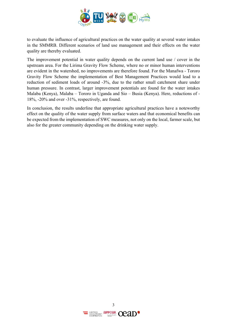

to evaluate the influence of agricultural practices on the water quality at several water intakes in the SMMRB. Different scenarios of land use management and their effects on the water quality are thereby evaluated.

The improvement potential in water quality depends on the current land use / cover in the upstream area. For the Lirima Gravity Flow Scheme, where no or minor human interventions are evident in the watershed, no improvements are therefore found. For the Manafwa - Tororo Gravity Flow Scheme the implementation of Best Management Practices would lead to a reduction of sediment loads of around -3%, due to the rather small catchment share under human pressure. In contrast, larger improvement potentials are found for the water intakes Malaba (Kenya), Malaba – Tororo in Uganda and Sio – Busia (Kenya). Here, reductions of - 18%, -20% and over -31%, respectively, are found.

In conclusion, the results underline that appropriate agricultural practices have a noteworthy effect on the quality of the water supply from surface waters and that economical benefits can be expected from the implementation of SWC measures, not only on the local, farmer scale, but also for the greater community depending on the drinking water supply.

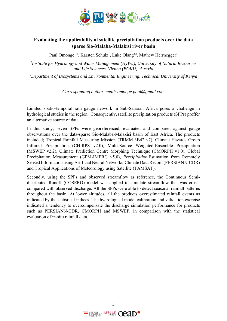

### **Evaluating the applicability of satellite precipitation products over the data sparse Sio-Malaba-Malakisi river basin**

Paul Omonge<sup>1,2</sup>, Karsten Schulz<sup>1</sup>, Luke Olang<sup>,2</sup>, Mathew Herrnegger<sup>1</sup>

*1Institute for Hydrology and Water Management (HyWa), University of Natural Resources and Life Sciences, Vienna (BOKU), Austria* 

*2 Department of Biosystems and Environmental Engineering, Technical University of Kenya* 

*Corresponding author email: omonge.paul@gmail.com* 

Limited spatio-temporal rain gauge network in Sub-Saharan Africa poses a challenge in hydrological studies in the region. Consequently, satellite precipitation products (SPPs) proffer an alternative source of data.

In this study, seven SPPs were georeferenced, evaluated and compared against gauge observations over the data-sparse Sio-Malaba-Malakisi basin of East Africa. The products included; Tropical Rainfall Measuring Mission (TRMM-3B42 v7), Climate Hazards Group Infrared Precipitation (CHIRPS v2.0), Multi-Source Weighted-Ensemble Precipitation (MSWEP v2.2), Climate Prediction Centre Morphing Technique (CMORPH v1.0), Global Precipitation Measurement (GPM-IMERG v5.0), *Precipitation* Estimation from Remotely Sensed Information using Artificial Neural Networks-Climate Data Record (PERSIANN-CDR) and Tropical Applications of Meteorology using Satellite (TAMSAT).

Secondly, using the SPPs and observed streamflow as reference, the Continuous Semidistributed Runoff (COSERO) model was applied to simulate streamflow that was crosscompared with observed discharge. All the SPPs were able to detect seasonal rainfall patterns throughout the basin. At lower altitudes, all the products overestimated rainfall events as indicated by the statistical indices. The hydrological model calibration and validation exercise indicated a tendency to overcompensate the discharge simulation performance for products such as PERSIANN-CDR, CMORPH and MSWEP, in comparison with the statistical evaluation of in-situ rainfall data.

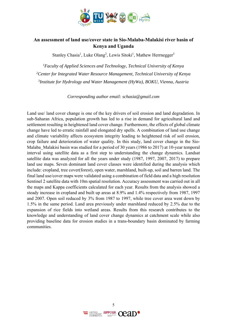

### **An assessment of land use/cover state in Sio-Malaba-Malakisi river basin of Kenya and Uganda**

Stanley Chasia<sup>1</sup>, Luke Olang<sup>2</sup>, Lewis Sitoki<sup>1</sup>, Mathew Herrnegger<sup>3</sup>

*1Faculty of Applied Sciences and Technology, Technical University of Kenya* <sup>2</sup> Center for Integrated Water Resource Management, Technical University of Kenya *3Institute for Hydrology and Water Management (HyWa), BOKU, Vienna, Austria* 

*Corresponding author email: schasia@gmail.com* 

Land use/ land cover change is one of the key drivers of soil erosion and land degradation. In sub-Saharan Africa, population growth has led to a rise in demand for agricultural land and settlement resulting in heightened land cover change. Furthermore, the effects of global climate change have led to erratic rainfall and elongated dry spells. A combination of land use change and climate variability affects ecosystem integrity leading to heightened risk of soil erosion, crop failure and deterioration of water quality. In this study, land cover change in the Sio-Malaba Malakisi basin was studied for a period of 30 years (1986 to 2017) at 10-year temporal interval using satellite data as a first step to understanding the change dynamics. Landsat satellite data was analyzed for all the years under study (1987, 1997, 2007, 2017) to prepare land use maps. Seven dominant land cover classes were identified during the analysis which include: cropland, tree cover(forest), open water, marshland, built-up, soil and barren land. The final land use/cover maps were validated using a combination of field data and a high resolution Sentinel 2 satellite data with 10m spatial resolution. Accuracy assessment was carried out in all the maps and Kappa coefficients calculated for each year. Results from the analysis showed a steady increase in cropland and built up areas at 8.9% and 1.4% respectively from 1987, 1997 and 2007. Open soil reduced by 3% from 1987 to 1997, while tree cover area went down by 1.5% in the same period. Land area previously under marshland reduced by 2.5% due to the expansion of rice fields into wetland areas. Results from this research contributes to the knowledge and understanding of land cover change dynamics at catchment scale while also providing baseline data for erosion studies in a trans-boundary basin dominated by farming communities.

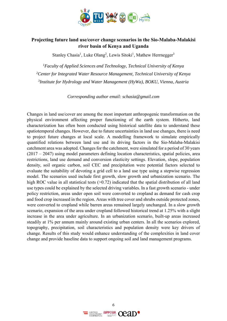

### **Projecting future land use/cover change scenarios in the Sio-Malaba-Malakisi river basin of Kenya and Uganda**

Stanley Chasia<sup>1</sup>, Luke Olang<sup>2</sup>, Lewis Sitoki<sup>1</sup>, Mathew Herrnegger<sup>3</sup>

*1Faculty of Applied Sciences and Technology, Technical University of Kenya* <sup>2</sup> Center for Integrated Water Resource Management, Technical University of Kenya *3Institute for Hydrology and Water Management (HyWa), BOKU, Vienna, Austria* 

*Corresponding author email: schasia@gmail.com* 

Changes in land use/cover are among the most important anthropogenic transformation on the physical environment affecting proper functioning of the earth system. Hitherto, land characterization has often been conducted using historical satellite data to understand these spatiotemporal changes. However, due to future uncertainties in land use changes, there is need to project future changes at local scale. A modelling framework to simulate empirically quantified relations between land use and its driving factors in the Sio-Malaba-Malakisi catchment area was adopted. Changes for the catchment, were simulated for a period of 30 years  $(2017 – 2047)$  using model parameters defining location characteristics, spatial policies, area restrictions, land use demand and conversion elasticity settings. Elevation, slope, population density, soil organic carbon, soil CEC and precipitation were potential factors selected to evaluate the suitability of devoting a grid cell to a land use type using a stepwise regression model. The scenarios used include first growth, slow growth and urbanization scenario. The high ROC value in all statistical tests ( $>0.72$ ) indicated that the spatial distribution of all land use types could be explained by the selected driving variables. In a fast growth scenario - under policy restriction, areas under open soil were converted to cropland as demand for cash crop and food crop increased in the region. Areas with tree cover and shrubs outside protected zones, were converted to cropland while barren areas remained largely unchanged. In a slow growth scenario, expansion of the area under cropland followed historical trend at 1.25% with a slight increase in the area under agriculture. In an urbanization scenario, built-up areas increased steadily at 1% per annum mainly around existing urban centers. In all the scenarios explored, topography, precipitation, soil characteristics and population density were key drivers of change. Results of this study would enhance understanding of the complexities in land cover change and provide baseline data to support ongoing soil and land management programs.

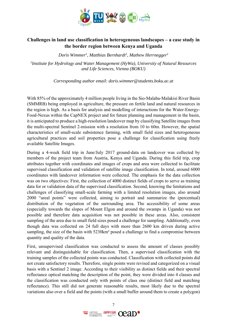

### **Challenges in land use classification in heterogeneous landscapes – a case study in the border region between Kenya and Uganda**

*Doris Wimmer1 , Matthias Bernhardt1 , Mathew Herrnegger1*

*1Institute for Hydrology and Water Management (HyWa), University of Natural Resources and Life Sciences, Vienna (BOKU)* 

*Corresponding author email: doris.wimmer@students.boku.ac.at*

With 85% of the approximately 4 million people living in the Sio-Malaba-Malakisi River Basin (SMMRB) being employed in agriculture, the pressure on fertile land and natural resources in the region is high. As a basis for analysis and modelling of interactions for the Water-Energy-Food-Nexus within the CapNEX project and for future planning and management in the basin, it is anticipated to produce a high-resolution landcover map by classifying Satellite images from the multi-spectral Sentinel 2-mission with a resolution from 10 to 60m. However, the spatial characteristics of small-scale subsistence farming, with small field sizes and heterogeneous agricultural practices and soil properties pose a challenge for classification using freely available Satellite Images.

During a 4-week field trip in June/July 2017 ground-data on landcover was collected by members of the project team from Austria, Kenya and Uganda. During this field trip, crop attributes together with coordinates and images of crops and area were collected to facilitate supervised classification and validation of satellite image classification. In total, around 6000 coordinates with landcover information were collected. The emphasis for the data collection was on two objectives: First, the collection of 4000 distinct fields of crops to serve as training data for or validation data of the supervised classification. Second, knowing the limitations and challenges of classifying small-scale farming with a limited resolution images, also around 2000 "areal points" were collected, aiming to portrait and summarize the (percentual) distribution of the vegetation of the surrounding area. The accessibility of some areas (especially towards the slopes of Mount Elgon and around the swamps in Uganda) was not possible and therefore data acquisition was not possible in these areas. Also, consistent sampling of the area due to small field sizes posed a challenge for sampling. Additionally, even though data was collected on 24 full days with more than 2600 km driven during active sampling, the size of the basin with 5230km<sup>2</sup> posed a challenge to find a compromise between quantity and quality of the data.

First, unsupervised classification was conducted to assess the amount of classes possibly relevant and distinguishable for classification. Then, a supervised classification with the training samples of the collected points was conducted. Classification with collected points did not create satisfactory results. Therefore, single points were revised and categorized on a visual basis with a Sentinel 2 image. According to their visibility as distinct fields and their spectral reflectance optical matching the description of the point, they were divided into 4 classes and the classification was conducted only with points of class one (distinct field and matching reflectance). This still did not generate reasonable results, most likely due to the spectral variations also over a field and the points (with a small buffer around them to create a polygon)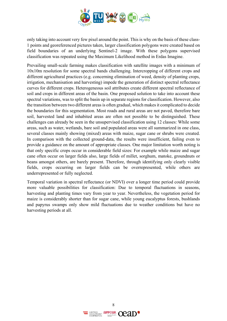

only taking into account very few pixel around the point. This is why on the basis of these class-1 points and georeferenced pictures taken, larger classification polygons were created based on field boundaries of an underlying Sentinel-2 image. With these polygons supervised classification was repeated using the Maximum Likelihood method in Erdas Imagine.

Prevailing small-scale farming makes classification with satellite images with a minimum of 10x10m resolution for some spectral bands challenging. Intercropping of different crops and different agricultural practices (e.g. concerning elimination of weed, density of planting crops, irrigation, mechanisation and harvesting) impede the generation of distinct spectral reflectance curves for different crops. Heterogeneous soil attributes create different spectral reflectance of soil and crops in different areas of the basin. One proposed solution to take into account these spectral variations, was to split the basin up in separate regions for classification. However, also the transition between two different areas is often gradual, which makes it complicated to decide the boundaries for this segmentation. Most roads and rural areas are not paved, therefore bare soil, harvested land and inhabited areas are often not possible to be distinguished. These challenges can already be seen in the unsupervised classification using 12 classes: While some areas, such as water, wetlands, bare soil and populated areas were all summarized in one class, several classes mainly showing (mixed) areas with maize, sugar cane or shrubs were created. In comparison with the collected ground-data, the results were insufficient, failing even to provide a guidance on the amount of appropriate classes. One major limitation worth noting is that only specific crops occur in considerable field sizes: For example while maize and sugar cane often occur on larger fields also, large fields of millet, sorghum, matoke, groundnuts or beans amongst others, are barely present. Therefore, through identifying only clearly visible fields, crops occurring on larger fields can be overrepresented, while others are underrepresented or fully neglected.

Temporal variation in spectral reflectance (or NDVI) over a longer time period could provide more valuable possibilities for classification: Due to temporal fluctuations in seasons, harvesting and planting times vary from year to year. Nevertheless, the vegetation period for maize is considerably shorter than for sugar cane, while young eucalyptus forests, bushlands and papyrus swamps only show mild fluctuations due to weather conditions but have no harvesting periods at all.

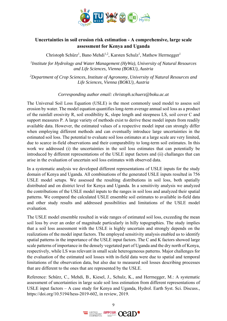

### **Uncertainties in soil erosion risk estimation - A comprehensive, large scale assessment for Kenya and Uganda**

Christoph Schürz<sup>1</sup>, Bano Mehdi<sup>1,2</sup>, Karsten Schulz<sup>1</sup>, Mathew Herrnegger<sup>1</sup>

*1Institute for Hydrology and Water Management (HyWa), University of Natural Resources and Life Sciences, Vienna (BOKU), Austria* 

*2 Department of Crop Sciences, Institute of Agronomy, University of Natural Resources and Life Sciences, Vienna (BOKU), Austria* 

#### *Corresponding author email: christoph.schuerz@boku.ac.at*

The Universal Soil Loss Equation (USLE) is the most commonly used model to assess soil erosion by water. The model equation quantifies long-term average annual soil loss as a product of the rainfall erosivity R, soil erodibility K, slope length and steepness LS, soil cover C and support measures P. A large variety of methods exist to derive these model inputs from readily available data. However, the estimated values of a respective model input can strongly differ when employing different methods and can eventually introduce large uncertainties in the estimated soil loss. The potential to evaluate soil loss estimates at a large scale are very limited, due to scarce in-field observations and their comparability to long-term soil estimates. In this work we addressed (i) the uncertainties in the soil loss estimates that can potentially be introduced by different representations of the USLE input factors and (ii) challanges that can arise in the evaluation of uncertain soil loss estimates with observed data.

In a systematic analysis we developed different representations of USLE inputs for the study domain of Kenya and Uganda. All combinations of the generated USLE inputs resulted in 756 USLE model setups. We assessed the resulting distributions in soil loss, both spatially distributed and on district level for Kenya and Uganda. In a sensitivity analysis we analyzed the contributions of the USLE model inputs to the ranges in soil loss and analyzed their spatial patterns. We compared the calculated USLE ensemble soil estimates to available in-field data and other study results and addressed possibilities and limitations of the USLE model evaluation.

The USLE model ensemble resulted in wide ranges of estimated soil loss, exceeding the mean soil loss by over an order of magnitude particularly in hilly topographies. The study implies that a soil loss assessment with the USLE is highly uncertain and strongly depends on the realizations of the model input factors. The employed sensitivity analysis enabled us to identify spatial patterns in the importance of the USLE input factors. The C and K factors showed large scale patterns of importance in the densely vegetated part of Uganda and the dry north of Kenya, respectively, while LS was relevant in small scale heterogeneous patterns. Major challenges for the evaluation of the estimated soil losses with in-field data were due to spatial and temporal limitations of the observation data, but also due to measured soil losses describing processes that are different to the ones that are represented by the USLE.

Reference: Schürz, C., Mehdi, B., Kiesel, J., Schulz, K., and Herrnegger, M.: A systematic assessment of uncertainties in large scale soil loss estimation from different representations of USLE input factors – A case study for Kenya and Uganda, Hydrol. Earth Syst. Sci. Discuss., https://doi.org/10.5194/hess-2019-602, in review, 2019.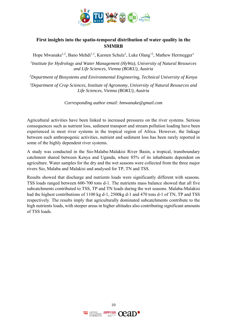

### **First insights into the spatio-temporal distribution of water quality in the SMMRB**

Hope Mwanake<sup>1,2</sup>, Bano Mehdi<sup>1,3</sup>, Karsten Schulz<sup>1</sup>, Luke Olang<sup>,2</sup>, Mathew Herrnegger<sup>1</sup>

*1Institute for Hydrology and Water Management (HyWa), University of Natural Resources and Life Sciences, Vienna (BOKU), Austria* 

*2 Department of Biosystems and Environmental Engineering, Technical University of Kenya* 

*3Department of Crop Sciences, Institute of Agronomy, University of Natural Resources and Life Sciences, Vienna (BOKU), Austria* 

*Corresponding author email: hmwanake@gmail.com* 

Agricultural activities have been linked to increased pressures on the river systems. Serious consequences such as nutrient loss, sediment transport and stream pollution loading have been experienced in most river systems in the tropical region of Africa. However, the linkage between such anthropogenic activities, nutrient and sediment loss has been rarely reported in some of the highly dependent river systems.

A study was conducted in the Sio-Malaba-Malakisi River Basin, a tropical, transboundary catchment shared between Kenya and Uganda, where 85% of its inhabitants dependent on agriculture. Water samples for the dry and the wet seasons were collected from the three major rivers Sio, Malaba and Malakisi and analysed for TP, TN and TSS.

Results showed that discharge and nutrients loads were significantly different with seasons. TSS loads ranged between 600-700 tons d-1. The nutrients mass balance showed that all five subcatchments contributed to TSS, TP and TN loads during the wet seasons. Malaba-Malakisi had the highest contributions of 1100 kg d-1, 2500kg d-1 and 470 tons d-1 of TN, TP and TSS respectively. The results imply that agriculturally dominated subcatchments contribute to the high nutrients loads, with steeper areas in higher altitudes also contributing significant amounts of TSS loads.

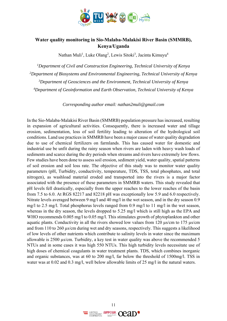

### **Water quality monitoring in Sio-Malaba-Malakisi River Basin (SMMRB), Kenya/Uganda**

Nathan Muli<sup>1</sup>, Luke Olang<sup>2</sup>, Lewis Sitoki<sup>3</sup>, Jacinta Kimuyu<sup>4</sup>

*1Department of Civil and Construction Engineering, Technical University of Kenya 2 Department of Biosystems and Environmental Engineering, Technical University of Kenya 3Department of Geosciences and the Environment, Technical University of Kenya 4 Department of Geoinformation and Earth Observation, Technical University of Kenya* 

*Corresponding author email: nathan2muli@gmail.com* 

In the Sio-Malaba-Malakisi River Basin (SMMRB) population pressure has increased, resulting in expansion of agricultural activities. Consequently, there is increased water and tillage erosion, sedimentation, loss of soil fertility leading to alteration of the hydrological soil conditions. Land use practices in SMMRB have been a major cause of water quality degradation due to use of chemical fertilizers on farmlands. This has caused water for domestic and industrial use be unfit during the rainy season when rivers are laden with heavy wash loads of sediments and scarce during the dry periods when streams and rivers have extremely low flows. Few studies have been done to assess soil erosion, sediment yield, water quality, spatial patterns of soil erosion and soil loss rate. The objective of this study was to monitor water quality parameters (pH, Turbidity, conductivity, temperature, TDS, TSS, total phosphates, and total nitrogen), as washload material eroded and transported into the rivers is a major factor associated with the presence of these parameters in SMMRB waters. This study revealed that pH levels fell drastically, especially from the upper reaches to the lower reaches of the basin from 7.5 to 6.0. At RGS 82217 and 82218 pH was exceptionally low 5.9 and 6.0 respectively. Nitrate levels averaged between 9 mg/l and 40 mg/l in the wet season, and in the dry season 0.9 mg/l to 2.5 mg/l. Total phosphorus levels ranged from 0.9 mg/l to 11 mg/l in the wet season, whereas in the dry season, the levels dropped to 5.25 mg/l which is still high as the EPA and WHO recommends 0.005 mg/l to 0.05 mg/l. This stimulates growth of phytoplankton and other aquatic plants. Conductivity in all the rivers showed low values from 120  $\mu$ s/cm to 175  $\mu$ s/cm and from 110 to 260 µs/cm during wet and dry seasons, respectively. This suggests a likelihood of low levels of other nutrients which contribute to salinity levels in water since the maximum allowable is 2500 µs/cm. Turbidity, a key test in water quality was above the recommended 5 NTUs and in some cases it was high 550 NTUs. This high turbidity levels necessitate use of high doses of chemical coagulants in water treatment plants. TDS, which combines inorganic and organic substances, was at 60 to 200 mg/l, far below the threshold of 1500mg/l. TSS in water was at 0.02 and 0.3 mg/l, well below allowable limits of 25 mg/l in the natural waters.

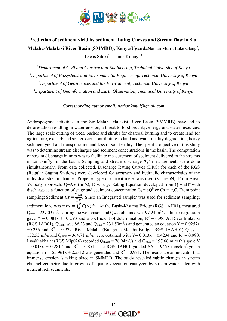

# **Prediction of sediment yield by sediment Rating Curves and Stream flow in Sio-**Malaba-Malakisi River Basin (SMMRB), Kenya/UgandaNathan Muli<sup>1</sup>, Luke Olang<sup>2</sup>, Lewis Sitoki<sup>3</sup>, Jacinta Kimuyu<sup>4</sup>

 *Department of Civil and Construction Engineering, Technical University of Kenya 2Department of Biosystems and Environmental Engineering, Technical University of Kenya Department of Geosciences and the Environment, Technical University of Kenya Department of Geoinformation and Earth Observation, Technical University of Kenya* 

*Corresponding author email: nathan2muli@gmail.com* 

Anthropogenic activities in the Sio-Malaba-Malakisi River Basin (SMMRB) have led to deforestation resulting in water erosion, a threat to food security, energy and water resources. The large scale cutting of trees, bushes and shrubs for charcoal burning and to create land for agriculture, exacerbated soil erosion contributing to land and water quality degradation, heavy sediment yield and transportation and loss of soil fertility. The specific objective of this study was to determine stream discharges and sediment concentrations in the basin. The computation of stream discharge in  $m^3/s$  was to facilitate measurement of sediment delivered to the streams in tons/km2 /yr in the basin. Sampling and stream discharge 'Q' measurements were done simultaneously. From data collected, Discharge Rating Curves (DRC) for each of the RGS (Regular Gaging Stations) were developed for accuracy and hydraulic characteristics of the individual stream channel. Propeller type of current meter was used ( $V=$  a+bN). From Area-Velocity approach: Q=AV (m<sup>3</sup>/s); Discharge Rating Equation developed from Q = aH<sup>n</sup> with discharge as a function of stage and sediment concentration  $C_s = aQ^b$  or  $Cs = q_sC$ . From point sampling; Sediment  $Cs = \frac{\sum cq}{\sum q}$ . Since an Integrated sampler was used for sediment sampling; sediment load was =  $q_s = \int_0^d C(y) dy$ . At the Busia-Kisumu Bridge (RGS 1AH01), measured  $Q_{\text{max}} = 227.03 \text{ m}^3/\text{s}$  during the wet season and  $Q_{\text{mean}}$  obtained was 97.24 m<sup>3</sup>/s, a linear regression gave Y =  $0.081x + 0.1593$  and a coefficient of determination; R<sup>2</sup> = 0.98. At River Malakisi (RGS 1AB01), Q<sub>mean</sub> was 86.23 and Q<sub>max</sub> = 231.59m<sup>3</sup>/s and generated an equation  $Y = 0.0257x$ +0.236 and  $R^2 = 0.979$ . River Malaba (Bungoma-Malaba Bridge, RGS 1AAH01) Qmean = 152.55 m<sup>3</sup>/s and Q<sub>max</sub> = 364.71 m<sup>3</sup>/s were obtained with Y =  $0.013x + 0.4234$  and R<sup>2</sup> = 0.980. Lwakhakha at (RGS Mip026) recorded  $Q_{mean} = 78.94 \text{m}^3/\text{s}$  and  $Q_{max} = 197.66 \text{ m}^3/\text{s}$  this gave Y  $= 0.013x + 0.2817$  and  $R^2 = 0.851$ . The RGS 1AH01 yielded SY = 9455 tons/km<sup>2</sup>/yr, an equation  $Y = 55.961x + 2.5312$  was generated and  $R^2 = 0.971$ . The results are an indicator that immense erosion is taking place in SMMRB. The study revealed subtle changes in stream channel geometry due to growth of aquatic vegetation catalyzed by stream water laden with nutrient rich sediments.

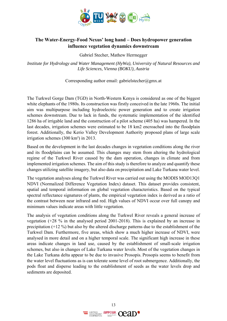

### **The Water-Energy-Food Nexus' long hand – Does hydropower generation influence vegetation dynamics downstream**

Gabriel Stecher, Mathew Herrnegger

*Institute for Hydrology and Water Management (HyWa), University of Natural Resources and Life Sciences, Vienna (BOKU), Austria* 

Corresponding author email: gabrielstecher@gmx.at

The Turkwel Gorge Dam (TGD) in North-Western Kenya is considered as one of the biggest white elephants of the 1980s. Its construction was firstly conceived in the late 1960s. The initial aim was multipurpose including hydroelectric power generation and to create irrigation schemes downstream. Due to lack in funds, the systematic implementation of the identified 1286 ha of irrigable land and the construction of a pilot scheme (405 ha) was hampered. In the last decades, irrigation schemes were estimated to be 18 km2 encroached into the floodplain forest. Additionally, the Kerio Valley Development Authority proposed plans of large scale irrigation schemes (300 km²) in 2013.

Based on the development in the last decades changes in vegetation conditions along the river and its floodplains can be assumed. This changes may stem from altering the hydrological regime of the Turkwel River caused by the dam operation, changes in climate and from implemented irrigation schemes. The aim of this study is therefore to analyze and quantify these changes utilizing satellite imagery, but also data on precipitation and Lake Turkana water level.

The vegetation analyses along the Turkwel River was carried out using the MODIS MOD13Q1 NDVI (Normalized Difference Vegetation Index) dataset. This dataset provides consistent, spatial and temporal information on global vegetation characteristics. Based on the typical spectral reflectance signatures of plants, the empirical vegetation index is derived as a ratio of the contrast between near infrared and red. High values of NDVI occur over full canopy and minimum values indicate areas with little vegetation.

The analysis of vegetation conditions along the Turkwel River reveals a general increase of vegetation (+28 % in the analysed period 2001-2018). This is explained by an increase in precipitation (+12 %) but also by the altered discharge patterns due to the establishment of the Turkwel Dam. Furthermore, five areas, which show a much higher increase of NDVI, were analysed in more detail and on a higher temporal scale. The significant high increase in these areas indicate changes in land use, caused by the establishment of small-scale irrigation schemes, but also in changes of Lake Turkana water levels. Most of the vegetation changes in the Lake Turkana delta appear to be due to invasive Prosopis. Prosopis seems to benefit from the water level fluctuations as is can tolerate some level of root submergence. Additionally, the pods float and disperse leading to the establishment of seeds as the water levels drop and sediments are deposited.

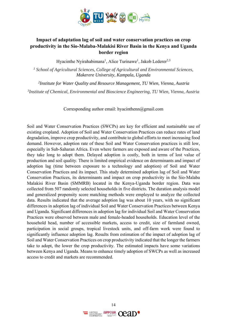

### **Impact of adaptation lag of soil and water conservation practices on crop productivity in the Sio-Malaba-Malakisi River Basin in the Kenya and Uganda border region**

Hyacinthe Nyirahabimana<sup>1</sup>, Alice Turinawe<sup>1</sup>, Jakob Lederer<sup>2,3</sup>

<sup>1</sup> School of Agricultural Sciences, College of Agricultural and Environmental Sciences, *Makerere University, Kampala, Uganda* 

 *2Institute for Water Quality and Resource Management, TU Wien, Vienna, Austria* 

*3 Institute of Chemical, Environmental and Bioscience Engineering, TU Wien, Vienna, Austria* 

Corresponding author email: hyacinthenn@gmail.com

Soil and Water Conservation Practices (SWCPs) are key for efficient and sustainable use of existing cropland. Adoption of Soil and Water Conservation Practices can reduce rates of land degradation, improve crop productivity, and contribute to global efforts to meet increasing food demand. However, adoption rate of these Soil and Water Conservation practices is still low, especially in Sub-Saharan Africa. Even where farmers are exposed and aware of the Practices, they take long to adopt them. Delayed adoption is costly, both in terms of lost value of production and soil quality. There is limited empirical evidence on determinants and impact of adoption lag (time between exposure to a technology and adoption) of Soil and Water Conservation Practices and its impact. This study determined adoption lag of Soil and Water Conservation Practices, its determinants and impact on crop productivity in the Sio-Malaba Malakisi River Basin (SMMRB) located in the Kenya-Uganda border region. Data was collected from 507 randomly selected households in five districts. The duration analysis model and generalized propensity score matching methods were employed to analyze the collected data. Results indicated that the average adoption lag was about 10 years, with no significant differences in adoption lag of individual Soil and Water Conservation Practices between Kenya and Uganda. Significant differences in adoption lag for individual Soil and Water Conservation Practices were observed between male and female-headed households. Education level of the household head, number of accessible markets, access to credit, size of farmland owned, participation in social groups, tropical livestock units, and off-farm work were found to significantly influence adoption lag. Results from estimation of the impact of adoption lag of Soil and Water Conservation Practices on crop productivity indicated that the longer the farmers take to adopt, the lower the crop productivity. The estimated impacts have some variations between Kenya and Uganda. Means to enhance timely adoption of SWCPs as well as increased access to credit and markets are recommended.

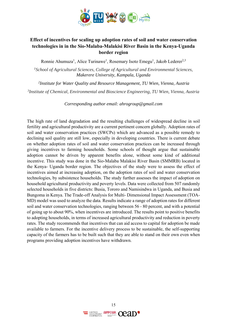

### **Effect of incentives for scaling up adoption rates of soil and water conservation technologies in in the Sio-Malaba-Malakisi River Basin in the Kenya-Uganda border region**

Ronnie Ahumuza<sup>1</sup>, Alice Turinawe<sup>1</sup>, Rosemary Isoto Emegu<sup>1</sup>, Jakob Lederer<sup>2,3</sup>

<sup>1</sup> School of Agricultural Sciences, College of Agricultural and Environmental Sciences, *Makerere University, Kampala, Uganda* 

 *2Institute for Water Quality and Resource Management, TU Wien, Vienna, Austria* 

*3 Institute of Chemical, Environmental and Bioscience Engineering, TU Wien, Vienna, Austria* 

*Corresponding author email: ahrogroup@gmail.com* 

The high rate of land degradation and the resulting challenges of widespread decline in soil fertility and agricultural productivity are a current pertinent concern globally. Adoption rates of soil and water conservation practices (SWCPs) which are advanced as a possible remedy to declining soil quality are still low, especially in developing countries. There is current debate on whether adoption rates of soil and water conservation practices can be increased through giving incentives to farming households. Some schools of thought argue that sustainable adoption cannot be driven by apparent benefits alone, without some kind of additional incentive. This study was done in the Sio-Malaba Malakisi River Basin (SMMRB) located in the Kenya- Uganda border region. The objectives of the study were to assess the effect of incentives aimed at increasing adoption, on the adoption rates of soil and water conservation technologies, by subsistence households. The study further assesses the impact of adoption on household agricultural productivity and poverty levels. Data were collected from 507 randomly selected households in five districts: Busia, Tororo and Namisindwa in Uganda, and Busia and Bungoma in Kenya. The Trade-off Analysis for Multi- Dimensional Impact Assessment (TOA-MD) model was used to analyze the data. Results indicate a range of adoption rates for different soil and water conservation technologies, ranging between 56 - 80 percent, and with a potential of going up to about 90%, when incentives are introduced. The results point to positive benefits to adopting households, in terms of increased agricultural productivity and reduction in poverty rates. The study recommends that incentives that can aid access to capital for adoption be made available to farmers. For the incentive delivery process to be sustainable, the self-supporting capacity of the farmers has to be built such that they are able to stand on their own even when programs providing adoption incentives have withdrawn.

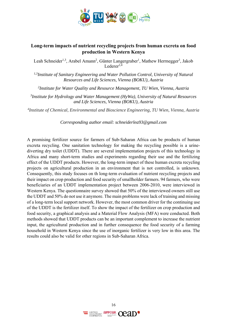

### **Long-term impacts of nutrient recycling projects from human excreta on food production in Western Kenya**

Leah Schneider<sup>1,3</sup>, Arabel Amann<sup>2</sup>, Günter Langergraber<sup>1</sup>, Mathew Herrnegger<sup>3</sup>, Jakob Lederer $^{2,4}$ 

*1,3Institute of Sanitary Engineering and Water Pollution Control, University of Natural Resources and Life Sciences, Vienna (BOKU), Austria* 

*2 Institute for Water Quality and Resource Management, TU Wien, Vienna, Austria* 

*3 Institute for Hydrology and Water Management (HyWa), University of Natural Resources and Life Sciences, Vienna (BOKU), Austria* 

*4 Institute of Chemical, Environmental and Bioscience Engineering, TU Wien, Vienna, Austria* 

*Corresponding author email: schneiderlea93@gmail.com*

A promising fertilizer source for farmers of Sub-Saharan Africa can be products of human excreta recycling. One sanitation technology for making the recycling possible is a urinediverting dry toilet (UDDT). There are several implementation projects of this technology in Africa and many short-term studies and experiments regarding their use and the fertilizing effect of the UDDT products. However, the long-term impact of these human excreta recycling projects on agricultural production in an environment that is not controlled, is unknown. Consequently, this study focuses on th long-term evaluation of nutrient recycling projects and their impact on crop production and food security of smallholder farmers. 94 farmers, who were beneficiaries of an UDDT implementation project between 2006-2010, were interviewed in Western Kenya. The questionnaire survey showed that 50% of the interviewed owners still use the UDDT and 50% do not use it anymore. The main problems were lack of training and missing of a long-term local support network. However, the most common driver for the continuing use of the UDDT is the fertilizer itself. To show the impact of the fertilizer on crop production and food security, a graphical analysis and a Material Flow Analysis (MFA) were conducted. Both methods showed that UDDT products can be an important complement to increase the nutrient input, the agricultural production and in further consequence the food security of a farming household in Western Kenya since the use of inorganic fertilizer is very low in this area. The results could also be valid for other regions in Sub-Saharan Africa.

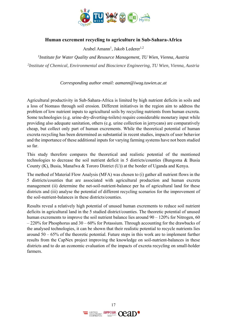

#### **Human excrement recycling to agriculture in Sub-Sahara-Africa**

Arabel Amann<sup>1</sup>, Jakob Lederer<sup>1,2</sup>

*1Institute for Water Quality and Resource Management, TU Wien, Vienna, Austria 2 Institute of Chemical, Environmental and Bioscience Engineering, TU Wien, Vienna, Austria* 

*Corresponding author email: aamann@iwag.tuwien.ac.at*

Agricultural productivity in Sub-Sahara-Africa is limited by high nutrient deficits in soils and a loss of biomass through soil erosion. Different initiatives in the region aim to address the problem of low nutrient inputs to agricultural soils by recycling nutrients from human excreta. Some technologies (e.g. urine-dry-diverting-toilets) require considerable monetary input while providing also adequate sanitation, others (e.g. urine collection in jerrycans) are comparatively cheap, but collect only part of human excrements. While the theoretical potential of human excreta recycling has been determined as substantial in recent studies, impacts of user behavior and the importance of these additional inputs for varying farming systems have not been studied so far.

This study therefore compares the theoretical and realistic potential of the mentioned technologies to decrease the soil nutrient deficit in 5 districts/counties (Bungoma & Busia County (K), Busia, Manafwa & Tororo District (U)) at the border of Uganda and Kenya.

The method of Material Flow Analysis (MFA) was chosen to (i) gather all nutrient flows in the 5 districts/counties that are associated with agricultural production and human excreta management (ii) determine the net-soil-nutrient-balance per ha of agricultural land for these districts and (iii) analyse the potential of different recycling scenarios for the improvement of the soil-nutrient-balances in these districts/counties.

Results reveal a relatively high potential of unused human excrements to reduce soil nutrient deficits in agricultural land in the 5 studied district/counties. The theoretic potential of unused human excrements to improve the soil nutrient balance lies around 90 – 120% for Nitrogen, 60 – 220% for Phosphorus and 30 – 60% for Potassium. Through accounting for the drawbacks of the analysed technologies, it can be shown that their realistic potential to recycle nutrients lies around  $50 - 65\%$  of the theoretic potential. Future steps in this work are to implement further results from the CapNex project improving the knowledge on soil-nutrient-balances in these districts and to do an economic evaluation of the impacts of excreta recycling on small-holder farmers.

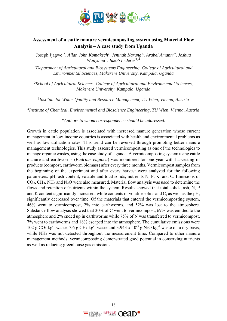

### **Assessment of a cattle manure vermicomposting system using Material Flow Analysis – A case study from Uganda**

Joseph Jjagwe1\*, *Allan John Komakech1, Jeninah Karungi2 , Arabel Amann3\*, Joshua Wanyama1, Jakob Lederer*3, 4

*1Department of Agricultural and Biosystems Engineering, College of Agricultural and Environmental Sciences, Makerere University, Kampala, Uganda* 

*2School of Agricultural Sciences, College of Agricultural and Environmental Sciences, Makerere University, Kampala, Uganda* 

*3Institute for Water Quality and Resource Management, TU Wien, Vienna, Austria* 

*4Institute of Chemical, Environmental and Bioscience Engineering, TU Wien, Vienna, Austria* 

*\*Authors to whom correspondence should be addressed.* 

Growth in cattle population is associated with increased manure generation whose current management in low-income countries is associated with health and environmental problems as well as low utilization rates. This trend can be reversed through promoting better manure management technologies. This study assessed vermicomposting as one of the technologies to manage organic wastes, using the case study of Uganda. A vermicomposting system using cattle manure and earthworms (*Eudrilus euginea*) was monitored for one year with harvesting of products (compost, earthworm biomass) after every three months. Vermicompost samples from the beginning of the experiment and after every harvest were analyzed for the following parameters: pH, ash content, volatile and total solids, nutrients N, P, K, and C. Emissions of CO2, CH4, NH3 and N2O were also measured. Material flow analysis was used to determine the flows and retention of nutrients within the system. Results showed that total solids, ash, N, P and K content significantly increased, while contents of volatile solids and C, as well as the pH, significantly decreased over time. Of the materials that entered the vermicomposting system, 46% went to vermicompost, 2% into earthworms, and 52% was lost to the atmosphere. Substance flow analysis showed that 30% of C went to vermicompost, 69% was emitted to the atmosphere and 2% ended up in earthworms while 75% of N was transferred to vermicompost, 7% went to earthworms and 18% escaped into the atmosphere. The cumulative emissions were 102 g CO<sub>2</sub> kg<sup>-1</sup> waste, 7.6 g CH<sub>4</sub> kg<sup>-1</sup> waste and 3.943 x 10<sup>-5</sup> g N<sub>2</sub>O kg<sup>-1</sup> waste on a dry basis, while NH<sub>3</sub> was not detected throughout the measurement time. Compared to other manure management methods, vermicomposting demonstrated good potential in conserving nutrients as well as reducing greenhouse gas emissions.

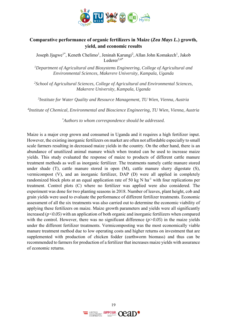

### **Comparative performance of organic fertilizers in Maize (***Zea Mays L.***) growth, yield, and economic results**

Joseph Jjagwe<sup>1\*</sup>, Keneth Chelimo<sup>1</sup>, Jeninah Karungi<sup>2</sup>, Allan John Komakech<sup>1</sup>, Jakob Lederer $3,4*$ 

*1Department of Agricultural and Biosystems Engineering, College of Agricultural and Environmental Sciences, Makerere University, Kampala, Uganda* 

*2School of Agricultural Sciences, College of Agricultural and Environmental Sciences, Makerere University, Kampala, Uganda* 

*3Institute for Water Quality and Resource Management, TU Wien, Vienna, Austria* 

*4Institute of Chemical, Environmental and Bioscience Engineering, TU Wien, Vienna, Austria* 

*\* Authors to whom correspondence should be addressed.* 

Maize is a major crop grown and consumed in Uganda and it requires a high fertilizer input. However, the existing inorganic fertilizers on market are often not affordable especially to small scale farmers resulting in decreased maize yields in the country. On the other hand, there is an abundance of unutilized animal manure which when treated can be used to increase maize yields. This study evaluated the response of maize to products of different cattle manure treatment methods as well as inorganic fertilizer. The treatments namely cattle manure stored under shade (T), cattle manure stored in open (M), cattle manure slurry digestate (S), vermicompost (V), and an inorganic fertilizer, DAP (D) were all applied in completely randomized block plots at an equal application rate of 50 kg N ha<sup>-1</sup> with four replications per treatment. Control plots (C) where no fertilizer was applied were also considered. The experiment was done for two planting seasons in 2018. Number of leaves, plant height, cob and grain yields were used to evaluate the performance of different fertilizer treatments. Economic assessment of all the six treatments was also carried out to determine the economic viability of applying these fertilizers on maize. Maize growth parameters and yields were all significantly increased (*p<0.05*) with an application of both organic and inorganic fertilizers when compared with the control. However, there was no significant difference  $(p>0.05)$  in the maize yields under the different fertilizer treatments. Vermicomposting was the most economically viable manure treatment method due to low operating costs and higher returns on investment that are supplemented with production of chicken fodder (earthworm biomass) and thus can be recommended to farmers for production of a fertilizer that increases maize yields with assurance of economic returns.

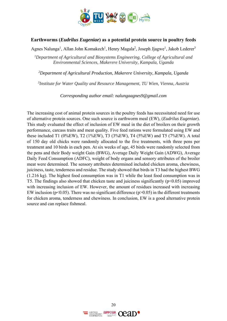

### **Earthworms (***Eudrilus Eugeniae***) as a potential protein source in poultry feeds**

Agnes Nalunga<sup>1</sup>, Allan John Komakech<sup>1</sup>, Henry Magala<sup>2</sup>, Joseph Jjagwe<sup>1</sup>, Jakob Lederer<sup>3</sup>

*1 Department of Agricultural and Biosystems Engineering, College of Agricultural and Environmental Sciences, Makerere University, Kampala, Uganda* 

*2Department of Agricultural Production, Makerere University, Kampala, Uganda* 

*3Institute for Water Quality and Resource Management, TU Wien, Vienna, Austria* 

*Corresponding author email: nalungaagnes9@gmail.com*

The increasing cost of animal protein sources in the poultry feeds has necessitated need for use of alternative protein sources. One such source is earthworm meal (EW), (*Eudrilus Eugeniae*). This study evaluated the effect of inclusion of EW meal in the diet of broilers on their growth performance, carcass traits and meat quality. Five feed rations were formulated using EW and these included T1 (0%EW), T2 (1%EW), T3 (3%EW), T4 (5%EW) and T5 (7%EW). A total of 150 day old chicks were randomly allocated to the five treatments, with three pens per treatment and 10 birds in each pen. At six weeks of age, 45 birds were randomly selected from the pens and their Body weight Gain (BWG), Average Daily Weight Gain (ADWG), Average Daily Feed Consumption (ADFC), weight of body organs and sensory attributes of the broiler meat were determined. The sensory attributes determined included chicken aroma, chewiness, juiciness, taste, tenderness and residue. The study showed that birds in T3 had the highest BWG (1.216 kg). The highest food consumption was in T1 while the least food consumption was in T5. The findings also showed that chicken taste and juiciness significantly ( $p<0.05$ ) improved with increasing inclusion of EW. However, the amount of residues increased with increasing EW inclusion ( $p<0.05$ ). There was no significant difference ( $p>0.05$ ) in the different treatments for chicken aroma, tenderness and chewiness. In conclusion, EW is a good alternative protein source and can replace fishmeal.

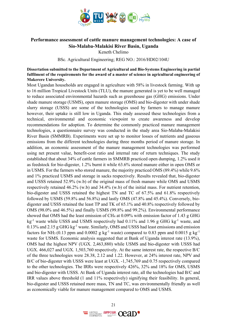

### **Performance assessment of cattle manure management technologies: A case of Sio-Malaba-Malakisi River Basin, Uganda**

Keneth Chelimo

BSc. Agricultural Engineering; REG NO.: 2016/HD02/104U

**Dissertation submitted to the Department of Agricultural and Bio-Systems Engineering in partial fulfilment of the requirements for the award of a master of science in agricultural engineering of Makerere University.** 

Most Ugandan households are engaged in agriculture with 58% in livestock farming. With up to 16 million Tropical Livestock Units (TLU), the manure generated is yet to be well managed to reduce associated environmental hazards such as greenhouse gas (GHG) emissions. Under shade manure storage (USMS), open manure storage (OMS) and bio-digester with under shade slurry storage (USSS) are some of the technologies used by farmers to manage manure however, their uptake is still low in Uganda. This study assessed these technologies from a technical, environmental and economic viewpoint to create awareness and develop recommendations for adoption. To determine the commonly practiced manure management technologies, a questionnaire survey was conducted in the study area Sio-Malaba-Malakisi River Basin (SMMRB). Experiments were set up to monitor losses of nutrients and gaseous emissions from the different technologies during three months period of manure storage. In addition, an economic assessment of the manure management technologies was performed using net present value, benefit-cost ratio and internal rate of return techniques. The study established that about 34% of cattle farmers in SMMRB practiced open dumping, 1.2% used it as feedstock for bio-digester, 1.2% burnt it while 63.6% stored manure either in open OMS or in USMS. For the farmers who stored manure, the majority practiced OMS (89.4%) while 9.6% and 1% practiced USMS and storage in sacks respectively. Results revealed that, bio-digester and USSS retained 52.9% (w.b) of the original mass of fresh manure while OMS and USMS respectively retained 46.2% (w.b) and 34.4% (w.b) of the initial mass. For nutrient retention, bio-digester and USSS retained the highest TN and TC of 67.5% and 61.8% respectively followed by USMS (59.8% and 56.8%) and lastly OMS (47.8% and 45.4%). Conversely, biodigester and USSS retained the least TP and TK of 65.1% and 40.8% respectively followed by OMS (98.0% and 46.5%) and finally USMS (99.8% and 99.2%). Environmental performance showed that OMS had the least emission of CH<sub>4</sub> at 0.09% with emission factor of 1.43 g GHG  $kg^{-1}$  waste while USSS and USMS respectively had 0.11% and 1.96 g GHG kg<sup>-1</sup> waste, and 0.13% and 2.15 g GHG kg-1 waste. Similarly, OMS and USSS had least emissions and emission factors for NH<sub>3</sub> (0.13 ppm and 0.0002 g kg<sup>-1</sup> waste) compared to 0.83 ppm and 0.0015 g kg<sup>-1</sup> waste for USMS. Economic analysis suggested that at Bank of Uganda interest rate (13.9%), OMS had the highest NPV (UGX. 2,463,880) while USMS and bio-digester with USSS had UGX. 466,027 and UGX. 1,503,760 respectively. At the same interest rate, the respective B/C of the three technologies were 28.38, 2.12 and 1.22. However, at 24% interest rate, NPV and B/C of bio-digester with USSS were least at UGX. -1,745,769 and 0.75 respectively compared to the other technologies. The IRRs were respectively 426%, 32% and 18% for OMS, USMS and bio-digester with USSS. At Bank of Uganda interest rate, all the technologies had B/C and IRR values above threshold (1 and 11% respectively) signifying their feasibility. In general, bio-digester and USSS retained more mass, TN and TC, was environmentally friendly as well as economically viable for manure management compared to OMS and USMS.